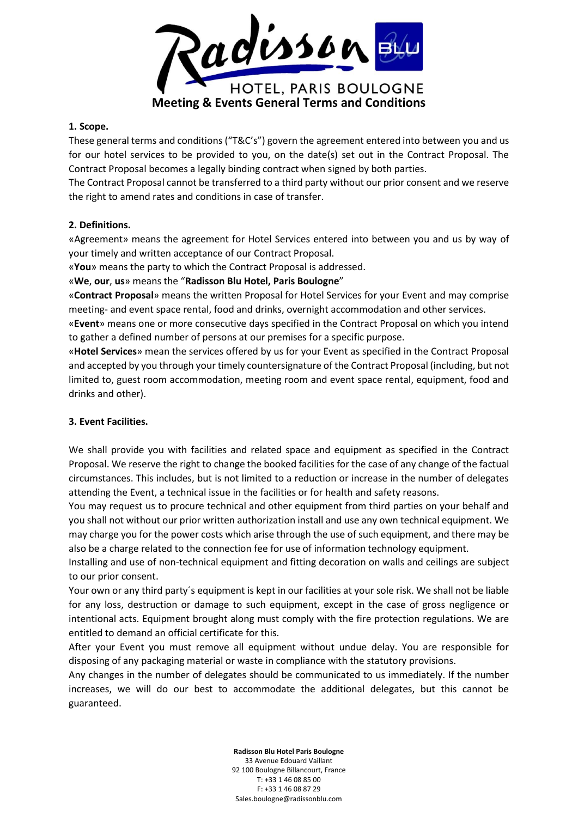

#### **1. Scope.**

These general terms and conditions ("T&C's") govern the agreement entered into between you and us for our hotel services to be provided to you, on the date(s) set out in the Contract Proposal. The Contract Proposal becomes a legally binding contract when signed by both parties.

The Contract Proposal cannot be transferred to a third party without our prior consent and we reserve the right to amend rates and conditions in case of transfer.

### **2. Definitions.**

«Agreement» means the agreement for Hotel Services entered into between you and us by way of your timely and written acceptance of our Contract Proposal.

«**You**» means the party to which the Contract Proposal is addressed.

«**We**, **our**, **us**» means the "**Radisson Blu Hotel, Paris Boulogne**"

«**Contract Proposal**» means the written Proposal for Hotel Services for your Event and may comprise meeting- and event space rental, food and drinks, overnight accommodation and other services.

«**Event**» means one or more consecutive days specified in the Contract Proposal on which you intend to gather a defined number of persons at our premises for a specific purpose.

«**Hotel Services**» mean the services offered by us for your Event as specified in the Contract Proposal and accepted by you through your timely countersignature of the Contract Proposal (including, but not limited to, guest room accommodation, meeting room and event space rental, equipment, food and drinks and other).

# **3. Event Facilities.**

We shall provide you with facilities and related space and equipment as specified in the Contract Proposal. We reserve the right to change the booked facilities for the case of any change of the factual circumstances. This includes, but is not limited to a reduction or increase in the number of delegates attending the Event, a technical issue in the facilities or for health and safety reasons.

You may request us to procure technical and other equipment from third parties on your behalf and you shall not without our prior written authorization install and use any own technical equipment. We may charge you for the power costs which arise through the use of such equipment, and there may be also be a charge related to the connection fee for use of information technology equipment.

Installing and use of non-technical equipment and fitting decoration on walls and ceilings are subject to our prior consent.

Your own or any third party´s equipment is kept in our facilities at your sole risk. We shall not be liable for any loss, destruction or damage to such equipment, except in the case of gross negligence or intentional acts. Equipment brought along must comply with the fire protection regulations. We are entitled to demand an official certificate for this.

After your Event you must remove all equipment without undue delay. You are responsible for disposing of any packaging material or waste in compliance with the statutory provisions.

Any changes in the number of delegates should be communicated to us immediately. If the number increases, we will do our best to accommodate the additional delegates, but this cannot be guaranteed.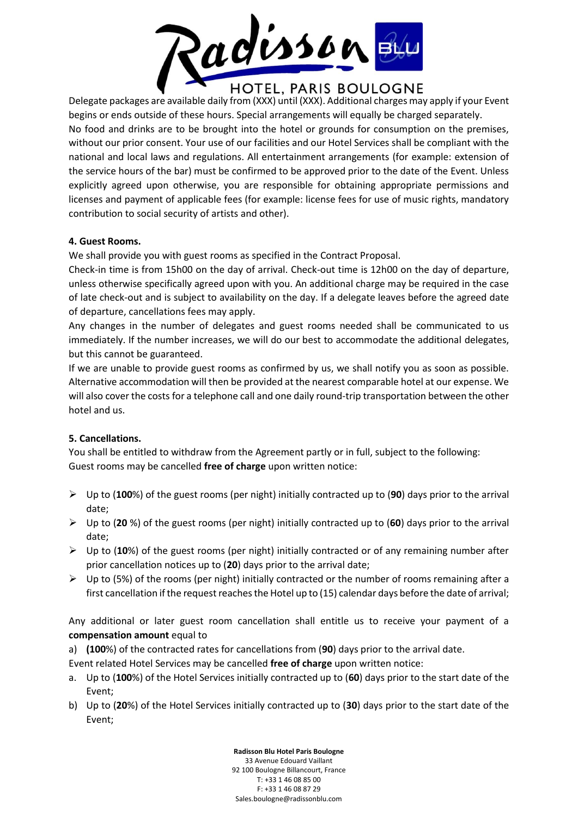

Delegate packages are available daily from (XXX) until (XXX). Additional charges may apply if your Event begins or ends outside of these hours. Special arrangements will equally be charged separately. No food and drinks are to be brought into the hotel or grounds for consumption on the premises, without our prior consent. Your use of our facilities and our Hotel Services shall be compliant with the national and local laws and regulations. All entertainment arrangements (for example: extension of the service hours of the bar) must be confirmed to be approved prior to the date of the Event. Unless explicitly agreed upon otherwise, you are responsible for obtaining appropriate permissions and licenses and payment of applicable fees (for example: license fees for use of music rights, mandatory contribution to social security of artists and other).

# **4. Guest Rooms.**

We shall provide you with guest rooms as specified in the Contract Proposal.

Check-in time is from 15h00 on the day of arrival. Check-out time is 12h00 on the day of departure, unless otherwise specifically agreed upon with you. An additional charge may be required in the case of late check-out and is subject to availability on the day. If a delegate leaves before the agreed date of departure, cancellations fees may apply.

Any changes in the number of delegates and guest rooms needed shall be communicated to us immediately. If the number increases, we will do our best to accommodate the additional delegates, but this cannot be guaranteed.

If we are unable to provide guest rooms as confirmed by us, we shall notify you as soon as possible. Alternative accommodation will then be provided at the nearest comparable hotel at our expense. We will also cover the costs for a telephone call and one daily round-trip transportation between the other hotel and us.

# **5. Cancellations.**

You shall be entitled to withdraw from the Agreement partly or in full, subject to the following: Guest rooms may be cancelled **free of charge** upon written notice:

- Up to (**100**%) of the guest rooms (per night) initially contracted up to (**90**) days prior to the arrival date;
- Up to (**20** %) of the guest rooms (per night) initially contracted up to (**60**) days prior to the arrival date;
- Up to (**10**%) of the guest rooms (per night) initially contracted or of any remaining number after prior cancellation notices up to (**20**) days prior to the arrival date;
- $\triangleright$  Up to (5%) of the rooms (per night) initially contracted or the number of rooms remaining after a first cancellation if the request reaches the Hotel up to (15) calendar days before the date of arrival;

Any additional or later guest room cancellation shall entitle us to receive your payment of a **compensation amount** equal to

a) **(100**%) of the contracted rates for cancellations from (**90**) days prior to the arrival date.

Event related Hotel Services may be cancelled **free of charge** upon written notice:

- a. Up to (**100**%) of the Hotel Services initially contracted up to (**60**) days prior to the start date of the Event;
- b) Up to (**20**%) of the Hotel Services initially contracted up to (**30**) days prior to the start date of the Event;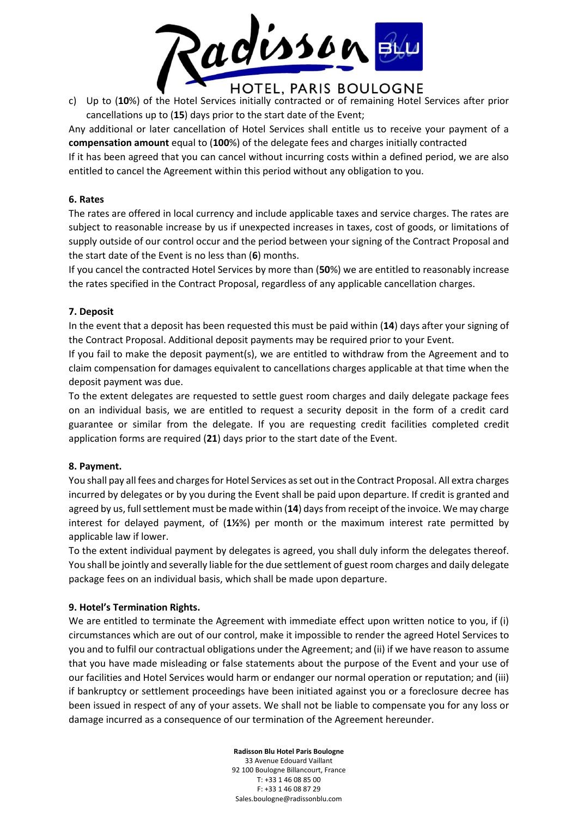

c) Up to (**10**%) of the Hotel Services initially contracted or of remaining Hotel Services after prior cancellations up to (**15**) days prior to the start date of the Event;

Any additional or later cancellation of Hotel Services shall entitle us to receive your payment of a **compensation amount** equal to (**100**%) of the delegate fees and charges initially contracted

If it has been agreed that you can cancel without incurring costs within a defined period, we are also entitled to cancel the Agreement within this period without any obligation to you.

### **6. Rates**

The rates are offered in local currency and include applicable taxes and service charges. The rates are subject to reasonable increase by us if unexpected increases in taxes, cost of goods, or limitations of supply outside of our control occur and the period between your signing of the Contract Proposal and the start date of the Event is no less than (**6**) months.

If you cancel the contracted Hotel Services by more than (**50**%) we are entitled to reasonably increase the rates specified in the Contract Proposal, regardless of any applicable cancellation charges.

### **7. Deposit**

In the event that a deposit has been requested this must be paid within (**14**) days after your signing of the Contract Proposal. Additional deposit payments may be required prior to your Event.

If you fail to make the deposit payment(s), we are entitled to withdraw from the Agreement and to claim compensation for damages equivalent to cancellations charges applicable at that time when the deposit payment was due.

To the extent delegates are requested to settle guest room charges and daily delegate package fees on an individual basis, we are entitled to request a security deposit in the form of a credit card guarantee or similar from the delegate. If you are requesting credit facilities completed credit application forms are required (**21**) days prior to the start date of the Event.

# **8. Payment.**

You shall pay all fees and charges for Hotel Services as set out in the Contract Proposal. All extra charges incurred by delegates or by you during the Event shall be paid upon departure. If credit is granted and agreed by us, full settlement must be made within (**14**) days from receipt of the invoice. We may charge interest for delayed payment, of (**1½**%) per month or the maximum interest rate permitted by applicable law if lower.

To the extent individual payment by delegates is agreed, you shall duly inform the delegates thereof. You shall be jointly and severally liable for the due settlement of guest room charges and daily delegate package fees on an individual basis, which shall be made upon departure.

# **9. Hotel's Termination Rights.**

We are entitled to terminate the Agreement with immediate effect upon written notice to you, if (i) circumstances which are out of our control, make it impossible to render the agreed Hotel Services to you and to fulfil our contractual obligations under the Agreement; and (ii) if we have reason to assume that you have made misleading or false statements about the purpose of the Event and your use of our facilities and Hotel Services would harm or endanger our normal operation or reputation; and (iii) if bankruptcy or settlement proceedings have been initiated against you or a foreclosure decree has been issued in respect of any of your assets. We shall not be liable to compensate you for any loss or damage incurred as a consequence of our termination of the Agreement hereunder.